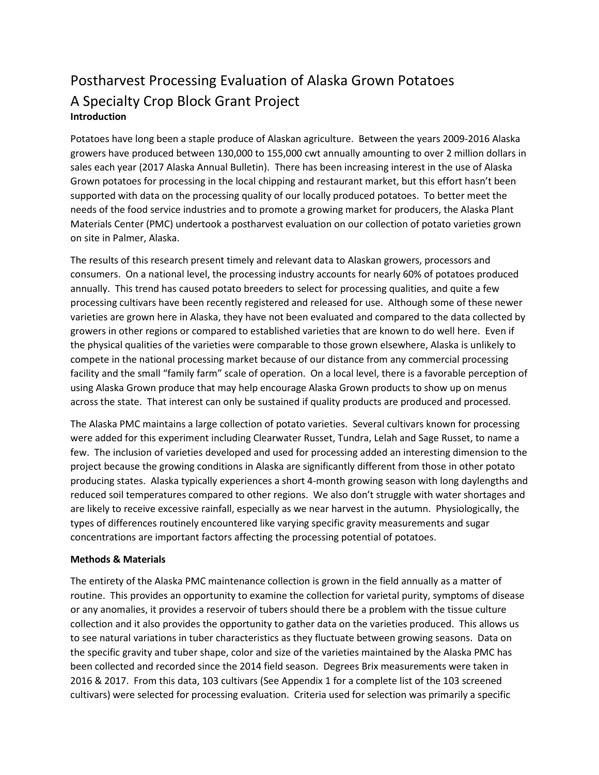# Postharvest Processing Evaluation of Alaska Grown Potatoes A Specialty Crop Block Grant Project **Introduction**

Potatoes have long been a staple produce of Alaskan agriculture. Between the years 2009-2016 Alaska growers have produced between 130,000 to 155,000 cwt annually amounting to over 2 million dollars in sales each year (2017 Alaska Annual Bulletin). There has been increasing interest in the use of Alaska Grown potatoes for processing in the local chipping and restaurant market, but this effort hasn't been supported with data on the processing quality of our locally produced potatoes. To better meet the needs of the food service industries and to promote a growing market for producers, the Alaska Plant Materials Center (PMC) undertook a postharvest evaluation on our collection of potato varieties grown on site in Palmer, Alaska.

The results of this research present timely and relevant data to Alaskan growers, processors and consumers. On a national level, the processing industry accounts for nearly 60% of potatoes produced annually. This trend has caused potato breeders to select for processing qualities, and quite a few processing cultivars have been recently registered and released for use. Although some of these newer varieties are grown here in Alaska, they have not been evaluated and compared to the data collected by growers in other regions or compared to established varieties that are known to do well here. Even if the physical qualities of the varieties were comparable to those grown elsewhere, Alaska is unlikely to compete in the national processing market because of our distance from any commercial processing facility and the small "family farm" scale of operation. On a local level, there is a favorable perception of using Alaska Grown produce that may help encourage Alaska Grown products to show up on menus across the state. That interest can only be sustained if quality products are produced and processed.

The Alaska PMC maintains a large collection of potato varieties. Several cultivars known for processing were added for this experiment including Clearwater Russet, Tundra, Lelah and Sage Russet, to name a few. The inclusion of varieties developed and used for processing added an interesting dimension to the project because the growing conditions in Alaska are significantly different from those in other potato producing states. Alaska typically experiences a short 4-month growing season with long daylengths and reduced soil temperatures compared to other regions. We also don't struggle with water shortages and are likely to receive excessive rainfall, especially as we near harvest in the autumn. Physiologically, the types of differences routinely encountered like varying specific gravity measurements and sugar concentrations are important factors affecting the processing potential of potatoes.

### **Methods & Materials**

The entirety of the Alaska PMC maintenance collection is grown in the field annually as a matter of routine. This provides an opportunity to examine the collection for varietal purity, symptoms of disease or any anomalies, it provides a reservoir of tubers should there be a problem with the tissue culture collection and it also provides the opportunity to gather data on the varieties produced. This allows us to see natural variations in tuber characteristics as they fluctuate between growing seasons. Data on the specific gravity and tuber shape, color and size of the varieties maintained by the Alaska PMC has been collected and recorded since the 2014 field season. Degrees Brix measurements were taken in 2016 & 2017. From this data, 103 cultivars (See Appendix 1 for a complete list of the 103 screened cultivars) were selected for processing evaluation. Criteria used for selection was primarily a specific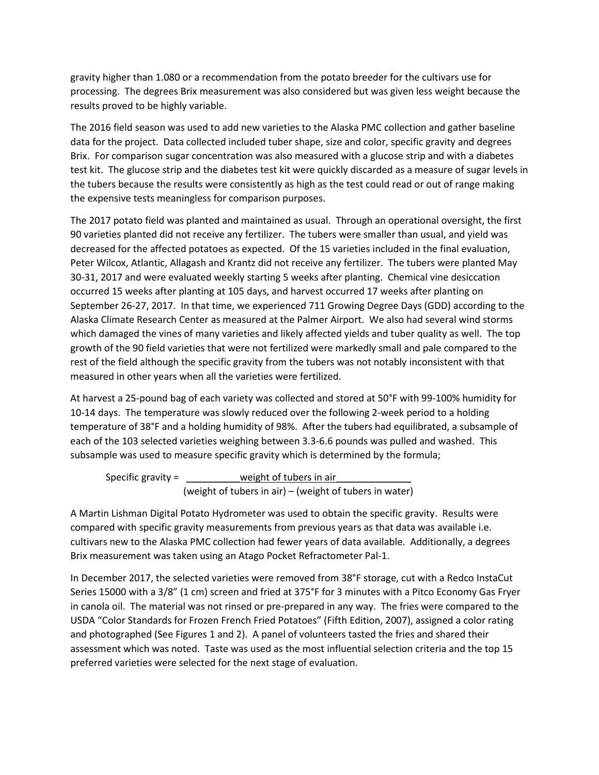gravity higher than 1.080 or a recommendation from the potato breeder for the cultivars use for processing. The degrees Brix measurement was also considered but was given less weight because the results proved to be highly variable.

The 2016 field season was used to add new varieties to the Alaska PMC collection and gather baseline data for the project. Data collected included tuber shape, size and color, specific gravity and degrees Brix. For comparison sugar concentration was also measured with a glucose strip and with a diabetes test kit. The glucose strip and the diabetes test kit were quickly discarded as a measure of sugar levels in the tubers because the results were consistently as high as the test could read or out of range making the expensive tests meaningless for comparison purposes.

The 2017 potato field was planted and maintained as usual. Through an operational oversight, the first 90 varieties planted did not receive any fertilizer. The tubers were smaller than usual, and yield was decreased for the affected potatoes as expected. Of the 15 varieties included in the final evaluation, Peter Wilcox, Atlantic, Allagash and Krantz did not receive any fertilizer. The tubers were planted May 30-31, 2017 and were evaluated weekly starting 5 weeks after planting. Chemical vine desiccation occurred 15 weeks after planting at 105 days, and harvest occurred 17 weeks after planting on September 26-27, 2017. In that time, we experienced 711 Growing Degree Days (GDD) according to the Alaska Climate Research Center as measured at the Palmer Airport. We also had several wind storms which damaged the vines of many varieties and likely affected yields and tuber quality as well. The top growth of the 90 field varieties that were not fertilized were markedly small and pale compared to the rest of the field although the specific gravity from the tubers was not notably inconsistent with that measured in other years when all the varieties were fertilized.

At harvest a 25-pound bag of each variety was collected and stored at 50°F with 99-100% humidity for 10-14 days. The temperature was slowly reduced over the following 2-week period to a holding temperature of 38°F and a holding humidity of 98%. After the tubers had equilibrated, a subsample of each of the 103 selected varieties weighing between 3.3-6.6 pounds was pulled and washed. This subsample was used to measure specific gravity which is determined by the formula;

Specific gravity =  $\frac{1}{2}$  weight of tubers in air (weight of tubers in air) – (weight of tubers in water)

A Martin Lishman Digital Potato Hydrometer was used to obtain the specific gravity. Results were compared with specific gravity measurements from previous years as that data was available i.e. cultivars new to the Alaska PMC collection had fewer years of data available. Additionally, a degrees Brix measurement was taken using an Atago Pocket Refractometer Pal-1.

In December 2017, the selected varieties were removed from 38°F storage, cut with a Redco InstaCut Series 15000 with a 3/8" (1 cm) screen and fried at 375°F for 3 minutes with a Pitco Economy Gas Fryer in canola oil. The material was not rinsed or pre-prepared in any way. The fries were compared to the USDA "Color Standards for Frozen French Fried Potatoes" (Fifth Edition, 2007), assigned a color rating and photographed (See Figures 1 and 2). A panel of volunteers tasted the fries and shared their assessment which was noted. Taste was used as the most influential selection criteria and the top 15 preferred varieties were selected for the next stage of evaluation.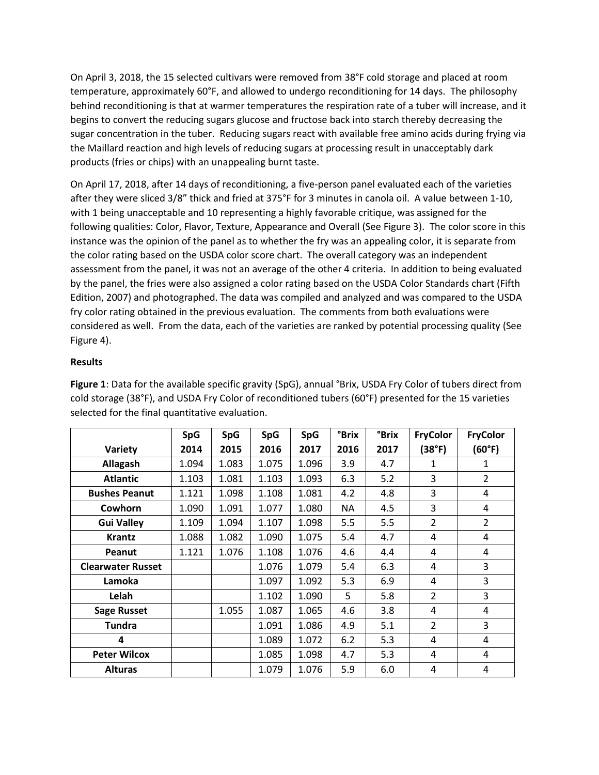On April 3, 2018, the 15 selected cultivars were removed from 38°F cold storage and placed at room temperature, approximately 60°F, and allowed to undergo reconditioning for 14 days. The philosophy behind reconditioning is that at warmer temperatures the respiration rate of a tuber will increase, and it begins to convert the reducing sugars glucose and fructose back into starch thereby decreasing the sugar concentration in the tuber. Reducing sugars react with available free amino acids during frying via the Maillard reaction and high levels of reducing sugars at processing result in unacceptably dark products (fries or chips) with an unappealing burnt taste.

On April 17, 2018, after 14 days of reconditioning, a five-person panel evaluated each of the varieties after they were sliced 3/8" thick and fried at 375°F for 3 minutes in canola oil. A value between 1-10, with 1 being unacceptable and 10 representing a highly favorable critique, was assigned for the following qualities: Color, Flavor, Texture, Appearance and Overall (See Figure 3). The color score in this instance was the opinion of the panel as to whether the fry was an appealing color, it is separate from the color rating based on the USDA color score chart. The overall category was an independent assessment from the panel, it was not an average of the other 4 criteria. In addition to being evaluated by the panel, the fries were also assigned a color rating based on the USDA Color Standards chart (Fifth Edition, 2007) and photographed. The data was compiled and analyzed and was compared to the USDA fry color rating obtained in the previous evaluation. The comments from both evaluations were considered as well. From the data, each of the varieties are ranked by potential processing quality (See Figure 4).

## **Results**

**Figure 1**: Data for the available specific gravity (SpG), annual °Brix, USDA Fry Color of tubers direct from cold storage (38°F), and USDA Fry Color of reconditioned tubers (60°F) presented for the 15 varieties selected for the final quantitative evaluation.

|                          | <b>SpG</b> | <b>SpG</b> | <b>SpG</b> | <b>SpG</b> | <b>°Brix</b> | <b>°Brix</b> | <b>FryColor</b> | <b>FryColor</b> |
|--------------------------|------------|------------|------------|------------|--------------|--------------|-----------------|-----------------|
| Variety                  | 2014       | 2015       | 2016       | 2017       | 2016         | 2017         | (38°F)          | (60°F)          |
| Allagash                 | 1.094      | 1.083      | 1.075      | 1.096      | 3.9          | 4.7          | 1               | 1               |
| <b>Atlantic</b>          | 1.103      | 1.081      | 1.103      | 1.093      | 6.3          | 5.2          | 3               | $\overline{2}$  |
| <b>Bushes Peanut</b>     | 1.121      | 1.098      | 1.108      | 1.081      | 4.2          | 4.8          | 3               | 4               |
| Cowhorn                  | 1.090      | 1.091      | 1.077      | 1.080      | NA           | 4.5          | 3               | 4               |
| <b>Gui Valley</b>        | 1.109      | 1.094      | 1.107      | 1.098      | 5.5          | 5.5          | $\overline{2}$  | $\overline{2}$  |
| <b>Krantz</b>            | 1.088      | 1.082      | 1.090      | 1.075      | 5.4          | 4.7          | 4               | 4               |
| Peanut                   | 1.121      | 1.076      | 1.108      | 1.076      | 4.6          | 4.4          | 4               | 4               |
| <b>Clearwater Russet</b> |            |            | 1.076      | 1.079      | 5.4          | 6.3          | 4               | 3               |
| Lamoka                   |            |            | 1.097      | 1.092      | 5.3          | 6.9          | 4               | 3               |
| Lelah                    |            |            | 1.102      | 1.090      | 5            | 5.8          | $\overline{2}$  | 3               |
| <b>Sage Russet</b>       |            | 1.055      | 1.087      | 1.065      | 4.6          | 3.8          | 4               | 4               |
| <b>Tundra</b>            |            |            | 1.091      | 1.086      | 4.9          | 5.1          | $\overline{2}$  | 3               |
| 4                        |            |            | 1.089      | 1.072      | 6.2          | 5.3          | 4               | 4               |
| <b>Peter Wilcox</b>      |            |            | 1.085      | 1.098      | 4.7          | 5.3          | 4               | 4               |
| <b>Alturas</b>           |            |            | 1.079      | 1.076      | 5.9          | 6.0          | 4               | 4               |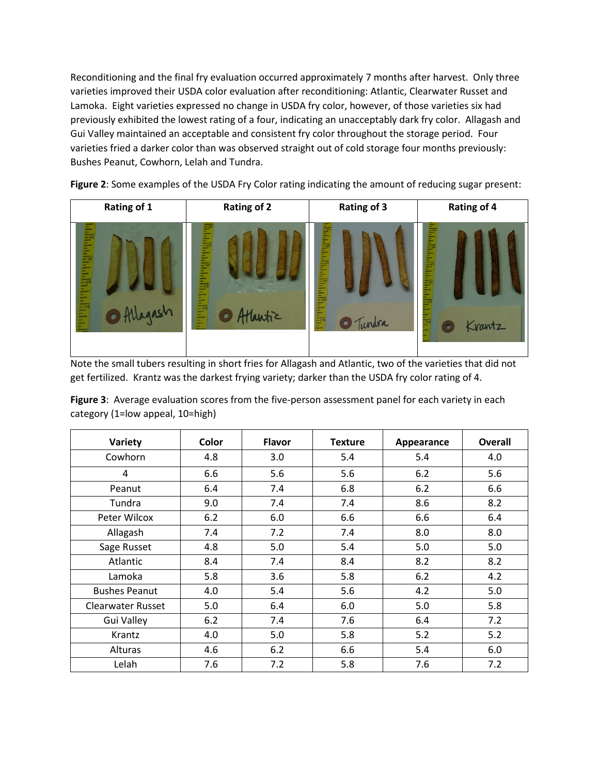Reconditioning and the final fry evaluation occurred approximately 7 months after harvest. Only three varieties improved their USDA color evaluation after reconditioning: Atlantic, Clearwater Russet and Lamoka. Eight varieties expressed no change in USDA fry color, however, of those varieties six had previously exhibited the lowest rating of a four, indicating an unacceptably dark fry color. Allagash and Gui Valley maintained an acceptable and consistent fry color throughout the storage period. Four varieties fried a darker color than was observed straight out of cold storage four months previously: Bushes Peanut, Cowhorn, Lelah and Tundra.



**Figure 2**: Some examples of the USDA Fry Color rating indicating the amount of reducing sugar present:

Note the small tubers resulting in short fries for Allagash and Atlantic, two of the varieties that did not get fertilized. Krantz was the darkest frying variety; darker than the USDA fry color rating of 4.

**Figure 3**: Average evaluation scores from the five-person assessment panel for each variety in each category (1=low appeal, 10=high)

| Variety                  | Color | <b>Flavor</b> | <b>Texture</b> | Appearance | <b>Overall</b> |
|--------------------------|-------|---------------|----------------|------------|----------------|
| Cowhorn                  | 4.8   | 3.0           | 5.4            | 5.4        | 4.0            |
| 4                        | 6.6   | 5.6           | 5.6            | 6.2        | 5.6            |
| Peanut                   | 6.4   | 7.4           | 6.8            | 6.2        | 6.6            |
| Tundra                   | 9.0   | 7.4           | 7.4            | 8.6        | 8.2            |
| Peter Wilcox             | 6.2   | 6.0           | 6.6            | 6.6        | 6.4            |
| Allagash                 | 7.4   | 7.2           | 7.4            | 8.0        | 8.0            |
| Sage Russet              | 4.8   | 5.0           | 5.4            | 5.0        | 5.0            |
| Atlantic                 | 8.4   | 7.4           | 8.4            | 8.2        | 8.2            |
| Lamoka                   | 5.8   | 3.6           | 5.8            | 6.2        | 4.2            |
| <b>Bushes Peanut</b>     | 4.0   | 5.4           | 5.6            | 4.2        | 5.0            |
| <b>Clearwater Russet</b> | 5.0   | 6.4           | 6.0            | 5.0        | 5.8            |
| <b>Gui Valley</b>        | 6.2   | 7.4           | 7.6            | 6.4        | 7.2            |
| Krantz                   | 4.0   | 5.0           | 5.8            | 5.2        | 5.2            |
| <b>Alturas</b>           | 4.6   | 6.2           | 6.6            | 5.4        | 6.0            |
| Lelah                    | 7.6   | 7.2           | 5.8            | 7.6        | 7.2            |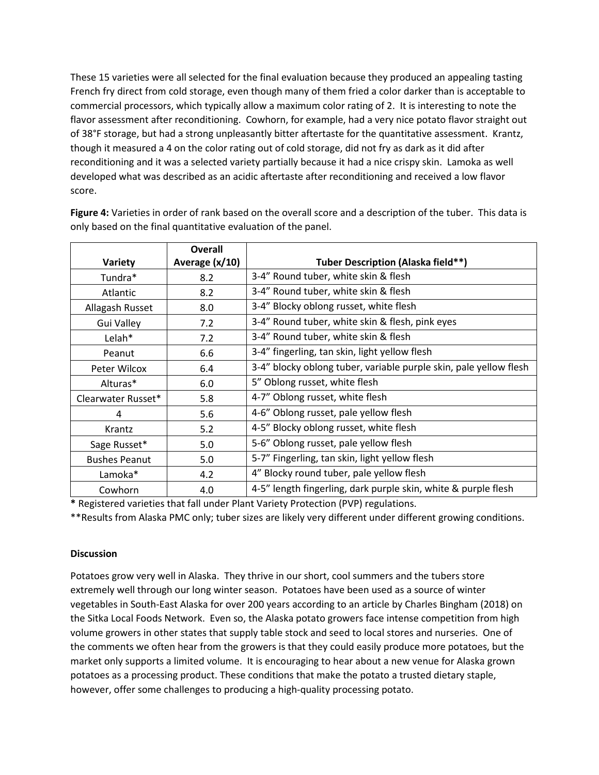These 15 varieties were all selected for the final evaluation because they produced an appealing tasting French fry direct from cold storage, even though many of them fried a color darker than is acceptable to commercial processors, which typically allow a maximum color rating of 2. It is interesting to note the flavor assessment after reconditioning. Cowhorn, for example, had a very nice potato flavor straight out of 38°F storage, but had a strong unpleasantly bitter aftertaste for the quantitative assessment. Krantz, though it measured a 4 on the color rating out of cold storage, did not fry as dark as it did after reconditioning and it was a selected variety partially because it had a nice crispy skin. Lamoka as well developed what was described as an acidic aftertaste after reconditioning and received a low flavor score.

|                      | <b>Overall</b> |                                                                   |
|----------------------|----------------|-------------------------------------------------------------------|
| <b>Variety</b>       | Average (x/10) | Tuber Description (Alaska field**)                                |
| Tundra*              | 8.2            | 3-4" Round tuber, white skin & flesh                              |
| Atlantic             | 8.2            | 3-4" Round tuber, white skin & flesh                              |
| Allagash Russet      | 8.0            | 3-4" Blocky oblong russet, white flesh                            |
| Gui Valley           | 7.2            | 3-4" Round tuber, white skin & flesh, pink eyes                   |
| Lelah*               | 7.2            | 3-4" Round tuber, white skin & flesh                              |
| Peanut               | 6.6            | 3-4" fingerling, tan skin, light yellow flesh                     |
| Peter Wilcox         | 6.4            | 3-4" blocky oblong tuber, variable purple skin, pale yellow flesh |
| Alturas*             | 6.0            | 5" Oblong russet, white flesh                                     |
| Clearwater Russet*   | 5.8            | 4-7" Oblong russet, white flesh                                   |
| 4                    | 5.6            | 4-6" Oblong russet, pale yellow flesh                             |
| Krantz               | 5.2            | 4-5" Blocky oblong russet, white flesh                            |
| Sage Russet*         | 5.0            | 5-6" Oblong russet, pale yellow flesh                             |
| <b>Bushes Peanut</b> | 5.0            | 5-7" Fingerling, tan skin, light yellow flesh                     |
| Lamoka*              | 4.2            | 4" Blocky round tuber, pale yellow flesh                          |
| Cowhorn              | 4.0            | 4-5" length fingerling, dark purple skin, white & purple flesh    |

**Figure 4:** Varieties in order of rank based on the overall score and a description of the tuber. This data is only based on the final quantitative evaluation of the panel.

**\*** Registered varieties that fall under Plant Variety Protection (PVP) regulations.

\*\*Results from Alaska PMC only; tuber sizes are likely very different under different growing conditions.

### **Discussion**

Potatoes grow very well in Alaska. They thrive in our short, cool summers and the tubers store extremely well through our long winter season. Potatoes have been used as a source of winter vegetables in South-East Alaska for over 200 years according to an article by Charles Bingham (2018) on the Sitka Local Foods Network. Even so, the Alaska potato growers face intense competition from high volume growers in other states that supply table stock and seed to local stores and nurseries. One of the comments we often hear from the growers is that they could easily produce more potatoes, but the market only supports a limited volume. It is encouraging to hear about a new venue for Alaska grown potatoes as a processing product. These conditions that make the potato a trusted dietary staple, however, offer some challenges to producing a high-quality processing potato.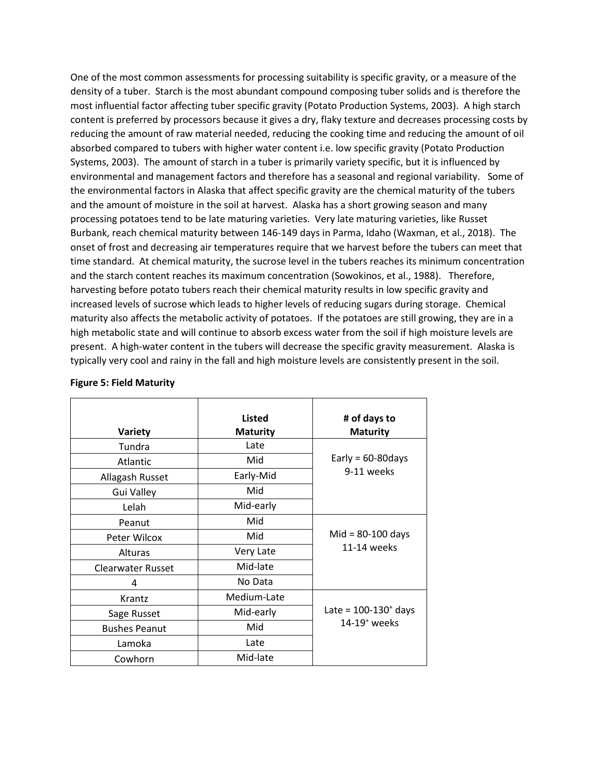One of the most common assessments for processing suitability is specific gravity, or a measure of the density of a tuber. Starch is the most abundant compound composing tuber solids and is therefore the most influential factor affecting tuber specific gravity (Potato Production Systems, 2003). A high starch content is preferred by processors because it gives a dry, flaky texture and decreases processing costs by reducing the amount of raw material needed, reducing the cooking time and reducing the amount of oil absorbed compared to tubers with higher water content i.e. low specific gravity (Potato Production Systems, 2003). The amount of starch in a tuber is primarily variety specific, but it is influenced by environmental and management factors and therefore has a seasonal and regional variability. Some of the environmental factors in Alaska that affect specific gravity are the chemical maturity of the tubers and the amount of moisture in the soil at harvest. Alaska has a short growing season and many processing potatoes tend to be late maturing varieties. Very late maturing varieties, like Russet Burbank, reach chemical maturity between 146-149 days in Parma, Idaho (Waxman, et al., 2018). The onset of frost and decreasing air temperatures require that we harvest before the tubers can meet that time standard. At chemical maturity, the sucrose level in the tubers reaches its minimum concentration and the starch content reaches its maximum concentration (Sowokinos, et al., 1988). Therefore, harvesting before potato tubers reach their chemical maturity results in low specific gravity and increased levels of sucrose which leads to higher levels of reducing sugars during storage. Chemical maturity also affects the metabolic activity of potatoes. If the potatoes are still growing, they are in a high metabolic state and will continue to absorb excess water from the soil if high moisture levels are present. A high-water content in the tubers will decrease the specific gravity measurement. Alaska is typically very cool and rainy in the fall and high moisture levels are consistently present in the soil.

| Variety                  | <b>Listed</b><br><b>Maturity</b> | # of days to<br><b>Maturity</b>    |  |
|--------------------------|----------------------------------|------------------------------------|--|
| Tundra                   | Late                             |                                    |  |
| Atlantic                 | Mid                              | Early = $60-80$ days               |  |
| Allagash Russet          | Early-Mid                        | 9-11 weeks                         |  |
| <b>Gui Valley</b>        | Mid                              |                                    |  |
| Lelah                    | Mid-early                        |                                    |  |
| Peanut                   | Mid                              |                                    |  |
| Peter Wilcox             | Mid                              | $Mid = 80-100$ days<br>11-14 weeks |  |
| Alturas                  | Very Late                        |                                    |  |
| <b>Clearwater Russet</b> | Mid-late                         |                                    |  |
| 4                        | No Data                          |                                    |  |
| Krantz                   | Medium-Late                      |                                    |  |
| Sage Russet              | Mid-early                        | Late = $100-130^{+}$ days          |  |
| <b>Bushes Peanut</b>     | Mid                              | $14-19$ <sup>+</sup> weeks         |  |
| Lamoka                   | Late                             |                                    |  |
| Cowhorn                  | Mid-late                         |                                    |  |

#### **Figure 5: Field Maturity**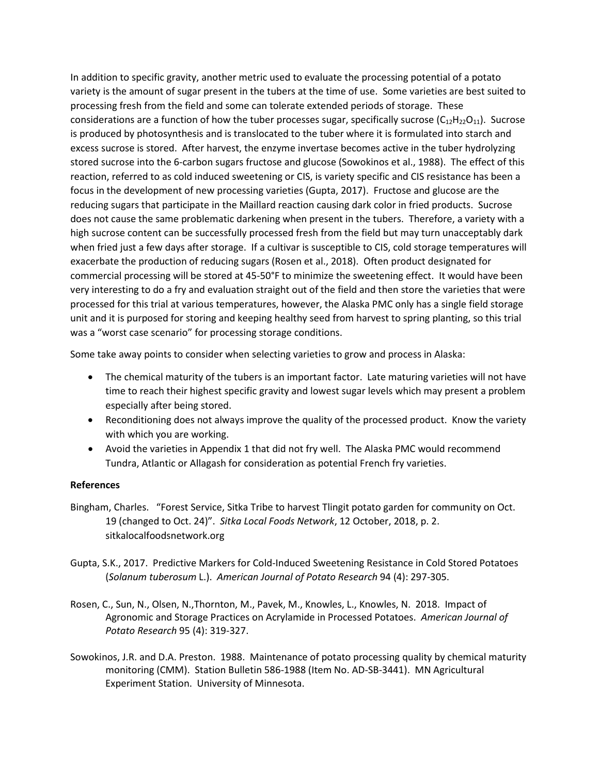In addition to specific gravity, another metric used to evaluate the processing potential of a potato variety is the amount of sugar present in the tubers at the time of use. Some varieties are best suited to processing fresh from the field and some can tolerate extended periods of storage. These considerations are a function of how the tuber processes sugar, specifically sucrose  $(C_{12}H_{22}O_{11})$ . Sucrose is produced by photosynthesis and is translocated to the tuber where it is formulated into starch and excess sucrose is stored. After harvest, the enzyme invertase becomes active in the tuber hydrolyzing stored sucrose into the 6-carbon sugars fructose and glucose (Sowokinos et al., 1988). The effect of this reaction, referred to as cold induced sweetening or CIS, is variety specific and CIS resistance has been a focus in the development of new processing varieties (Gupta, 2017). Fructose and glucose are the reducing sugars that participate in the Maillard reaction causing dark color in fried products. Sucrose does not cause the same problematic darkening when present in the tubers. Therefore, a variety with a high sucrose content can be successfully processed fresh from the field but may turn unacceptably dark when fried just a few days after storage. If a cultivar is susceptible to CIS, cold storage temperatures will exacerbate the production of reducing sugars (Rosen et al., 2018). Often product designated for commercial processing will be stored at 45-50°F to minimize the sweetening effect. It would have been very interesting to do a fry and evaluation straight out of the field and then store the varieties that were processed for this trial at various temperatures, however, the Alaska PMC only has a single field storage unit and it is purposed for storing and keeping healthy seed from harvest to spring planting, so this trial was a "worst case scenario" for processing storage conditions.

Some take away points to consider when selecting varieties to grow and process in Alaska:

- The chemical maturity of the tubers is an important factor. Late maturing varieties will not have time to reach their highest specific gravity and lowest sugar levels which may present a problem especially after being stored.
- Reconditioning does not always improve the quality of the processed product. Know the variety with which you are working.
- Avoid the varieties in Appendix 1 that did not fry well. The Alaska PMC would recommend Tundra, Atlantic or Allagash for consideration as potential French fry varieties.

### **References**

- Bingham, Charles. "Forest Service, Sitka Tribe to harvest Tlingit potato garden for community on Oct. 19 (changed to Oct. 24)". *Sitka Local Foods Network*, 12 October, 2018, p. 2. sitkalocalfoodsnetwork.org
- Gupta, S.K., 2017. Predictive Markers for Cold-Induced Sweetening Resistance in Cold Stored Potatoes (*Solanum tuberosum* L.). *American Journal of Potato Research* 94 (4): 297-305.
- Rosen, C., Sun, N., Olsen, N.,Thornton, M., Pavek, M., Knowles, L., Knowles, N. 2018. Impact of Agronomic and Storage Practices on Acrylamide in Processed Potatoes. *American Journal of Potato Research* 95 (4): 319-327.
- Sowokinos, J.R. and D.A. Preston. 1988. Maintenance of potato processing quality by chemical maturity monitoring (CMM). Station Bulletin 586-1988 (Item No. AD-SB-3441). MN Agricultural Experiment Station. University of Minnesota.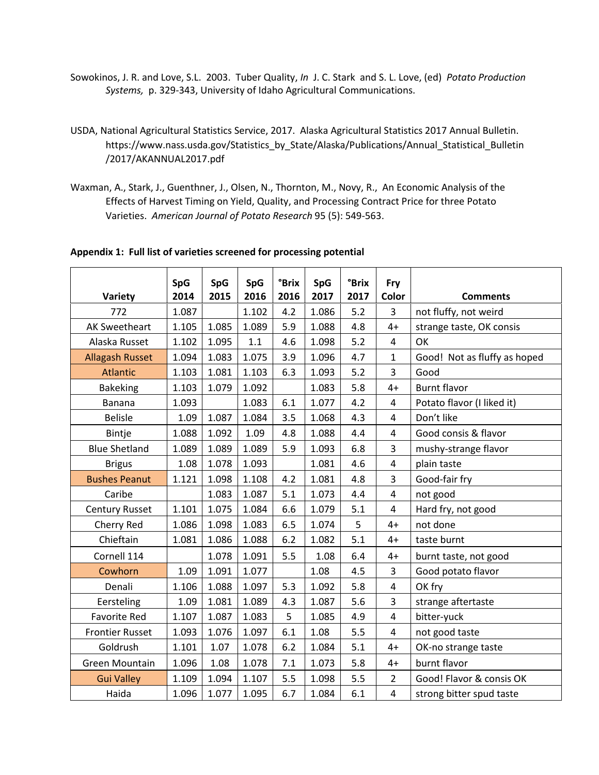- Sowokinos, J. R. and Love, S.L. 2003. Tuber Quality, *In* J. C. Stark and S. L. Love, (ed) *Potato Production Systems,* p. 329-343, University of Idaho Agricultural Communications.
- USDA, National Agricultural Statistics Service, 2017. Alaska Agricultural Statistics 2017 Annual Bulletin. https://www.nass.usda.gov/Statistics\_by\_State/Alaska/Publications/Annual\_Statistical\_Bulletin /2017/AKANNUAL2017.pdf
- Waxman, A., Stark, J., Guenthner, J., Olsen, N., Thornton, M., Novy, R., An Economic Analysis of the Effects of Harvest Timing on Yield, Quality, and Processing Contract Price for three Potato Varieties. *American Journal of Potato Research* 95 (5): 549-563.

|                        | <b>SpG</b> | <b>SpG</b> | <b>SpG</b> | <b>°Brix</b> | <b>SpG</b> | <b>°Brix</b> | Fry                     |                              |
|------------------------|------------|------------|------------|--------------|------------|--------------|-------------------------|------------------------------|
| Variety                | 2014       | 2015       | 2016       | 2016         | 2017       | 2017         | Color                   | <b>Comments</b>              |
| 772                    | 1.087      |            | 1.102      | 4.2          | 1.086      | 5.2          | 3                       | not fluffy, not weird        |
| <b>AK Sweetheart</b>   | 1.105      | 1.085      | 1.089      | 5.9          | 1.088      | 4.8          | $4+$                    | strange taste, OK consis     |
| Alaska Russet          | 1.102      | 1.095      | 1.1        | 4.6          | 1.098      | 5.2          | $\overline{4}$          | OK                           |
| <b>Allagash Russet</b> | 1.094      | 1.083      | 1.075      | 3.9          | 1.096      | 4.7          | $\mathbf{1}$            | Good! Not as fluffy as hoped |
| <b>Atlantic</b>        | 1.103      | 1.081      | 1.103      | 6.3          | 1.093      | 5.2          | $\overline{3}$          | Good                         |
| <b>Bakeking</b>        | 1.103      | 1.079      | 1.092      |              | 1.083      | 5.8          | $4+$                    | <b>Burnt flavor</b>          |
| <b>Banana</b>          | 1.093      |            | 1.083      | 6.1          | 1.077      | 4.2          | $\overline{\mathbf{4}}$ | Potato flavor (I liked it)   |
| <b>Belisle</b>         | 1.09       | 1.087      | 1.084      | 3.5          | 1.068      | 4.3          | $\overline{4}$          | Don't like                   |
| Bintje                 | 1.088      | 1.092      | 1.09       | 4.8          | 1.088      | 4.4          | $\overline{4}$          | Good consis & flavor         |
| <b>Blue Shetland</b>   | 1.089      | 1.089      | 1.089      | 5.9          | 1.093      | 6.8          | 3                       | mushy-strange flavor         |
| <b>Brigus</b>          | 1.08       | 1.078      | 1.093      |              | 1.081      | 4.6          | $\overline{4}$          | plain taste                  |
| <b>Bushes Peanut</b>   | 1.121      | 1.098      | 1.108      | 4.2          | 1.081      | 4.8          | 3                       | Good-fair fry                |
| Caribe                 |            | 1.083      | 1.087      | 5.1          | 1.073      | 4.4          | $\overline{4}$          | not good                     |
| <b>Century Russet</b>  | 1.101      | 1.075      | 1.084      | 6.6          | 1.079      | 5.1          | $\overline{\mathbf{4}}$ | Hard fry, not good           |
| Cherry Red             | 1.086      | 1.098      | 1.083      | 6.5          | 1.074      | 5            | $4+$                    | not done                     |
| Chieftain              | 1.081      | 1.086      | 1.088      | 6.2          | 1.082      | 5.1          | $4+$                    | taste burnt                  |
| Cornell 114            |            | 1.078      | 1.091      | 5.5          | 1.08       | 6.4          | $4+$                    | burnt taste, not good        |
| Cowhorn                | 1.09       | 1.091      | 1.077      |              | 1.08       | 4.5          | 3                       | Good potato flavor           |
| Denali                 | 1.106      | 1.088      | 1.097      | 5.3          | 1.092      | 5.8          | $\overline{4}$          | OK fry                       |
| Eersteling             | 1.09       | 1.081      | 1.089      | 4.3          | 1.087      | 5.6          | 3                       | strange aftertaste           |
| <b>Favorite Red</b>    | 1.107      | 1.087      | 1.083      | 5            | 1.085      | 4.9          | $\overline{4}$          | bitter-yuck                  |
| <b>Frontier Russet</b> | 1.093      | 1.076      | 1.097      | 6.1          | 1.08       | 5.5          | 4                       | not good taste               |
| Goldrush               | 1.101      | 1.07       | 1.078      | 6.2          | 1.084      | 5.1          | $4+$                    | OK-no strange taste          |
| Green Mountain         | 1.096      | 1.08       | 1.078      | 7.1          | 1.073      | 5.8          | $4+$                    | burnt flavor                 |
| <b>Gui Valley</b>      | 1.109      | 1.094      | 1.107      | 5.5          | 1.098      | 5.5          | $\overline{2}$          | Good! Flavor & consis OK     |
| Haida                  | 1.096      | 1.077      | 1.095      | 6.7          | 1.084      | 6.1          | $\overline{\mathbf{4}}$ | strong bitter spud taste     |

#### **Appendix 1: Full list of varieties screened for processing potential**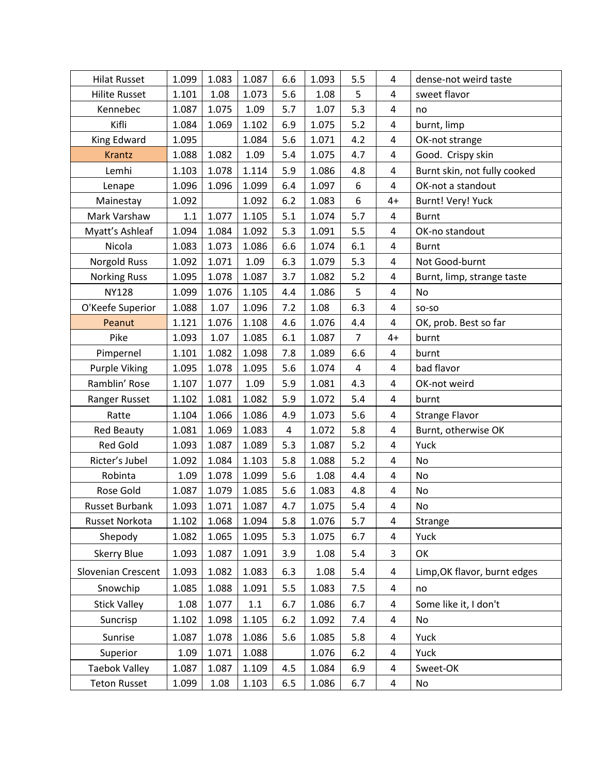| <b>Hilat Russet</b>   | 1.099 | 1.083 | 1.087   | 6.6 | 1.093 | 5.5                     | 4                       | dense-not weird taste        |
|-----------------------|-------|-------|---------|-----|-------|-------------------------|-------------------------|------------------------------|
| <b>Hilite Russet</b>  | 1.101 | 1.08  | 1.073   | 5.6 | 1.08  | 5                       | 4                       | sweet flavor                 |
| Kennebec              | 1.087 | 1.075 | 1.09    | 5.7 | 1.07  | 5.3                     | $\overline{4}$          | no                           |
| Kifli                 | 1.084 | 1.069 | 1.102   | 6.9 | 1.075 | 5.2                     | 4                       | burnt, limp                  |
| King Edward           | 1.095 |       | 1.084   | 5.6 | 1.071 | 4.2                     | $\overline{\mathbf{4}}$ | OK-not strange               |
| Krantz                | 1.088 | 1.082 | 1.09    | 5.4 | 1.075 | 4.7                     | 4                       | Good. Crispy skin            |
| Lemhi                 | 1.103 | 1.078 | 1.114   | 5.9 | 1.086 | 4.8                     | 4                       | Burnt skin, not fully cooked |
| Lenape                | 1.096 | 1.096 | 1.099   | 6.4 | 1.097 | 6                       | $\overline{4}$          | OK-not a standout            |
| Mainestay             | 1.092 |       | 1.092   | 6.2 | 1.083 | 6                       | $4+$                    | Burnt! Very! Yuck            |
| Mark Varshaw          | 1.1   | 1.077 | 1.105   | 5.1 | 1.074 | 5.7                     | 4                       | <b>Burnt</b>                 |
| Myatt's Ashleaf       | 1.094 | 1.084 | 1.092   | 5.3 | 1.091 | 5.5                     | 4                       | OK-no standout               |
| Nicola                | 1.083 | 1.073 | 1.086   | 6.6 | 1.074 | 6.1                     | 4                       | <b>Burnt</b>                 |
| Norgold Russ          | 1.092 | 1.071 | 1.09    | 6.3 | 1.079 | 5.3                     | 4                       | Not Good-burnt               |
| <b>Norking Russ</b>   | 1.095 | 1.078 | 1.087   | 3.7 | 1.082 | 5.2                     | 4                       | Burnt, limp, strange taste   |
| <b>NY128</b>          | 1.099 | 1.076 | 1.105   | 4.4 | 1.086 | 5                       | 4                       | No                           |
| O'Keefe Superior      | 1.088 | 1.07  | 1.096   | 7.2 | 1.08  | 6.3                     | 4                       | SO-SO                        |
| Peanut                | 1.121 | 1.076 | 1.108   | 4.6 | 1.076 | 4.4                     | 4                       | OK, prob. Best so far        |
| Pike                  | 1.093 | 1.07  | 1.085   | 6.1 | 1.087 | $\overline{7}$          | $4+$                    | burnt                        |
| Pimpernel             | 1.101 | 1.082 | 1.098   | 7.8 | 1.089 | 6.6                     | 4                       | burnt                        |
| <b>Purple Viking</b>  | 1.095 | 1.078 | 1.095   | 5.6 | 1.074 | $\overline{\mathbf{4}}$ | 4                       | bad flavor                   |
| Ramblin' Rose         | 1.107 | 1.077 | 1.09    | 5.9 | 1.081 | 4.3                     | 4                       | OK-not weird                 |
| Ranger Russet         | 1.102 | 1.081 | 1.082   | 5.9 | 1.072 | 5.4                     | 4                       | burnt                        |
| Ratte                 | 1.104 | 1.066 | 1.086   | 4.9 | 1.073 | 5.6                     | 4                       | <b>Strange Flavor</b>        |
| <b>Red Beauty</b>     | 1.081 | 1.069 | 1.083   | 4   | 1.072 | 5.8                     | 4                       | Burnt, otherwise OK          |
| <b>Red Gold</b>       | 1.093 | 1.087 | 1.089   | 5.3 | 1.087 | 5.2                     | 4                       | Yuck                         |
| Ricter's Jubel        | 1.092 | 1.084 | 1.103   | 5.8 | 1.088 | 5.2                     | 4                       | No                           |
| Robinta               | 1.09  | 1.078 | 1.099   | 5.6 | 1.08  | 4.4                     | 4                       | No                           |
| Rose Gold             | 1.087 | 1.079 | 1.085   | 5.6 | 1.083 | 4.8                     | 4                       | No                           |
| <b>Russet Burbank</b> | 1.093 | 1.071 | 1.087   | 4.7 | 1.075 | 5.4                     | 4                       | No.                          |
| Russet Norkota        | 1.102 | 1.068 | 1.094   | 5.8 | 1.076 | 5.7                     | 4                       | Strange                      |
| Shepody               | 1.082 | 1.065 | 1.095   | 5.3 | 1.075 | 6.7                     | 4                       | Yuck                         |
| <b>Skerry Blue</b>    | 1.093 | 1.087 | 1.091   | 3.9 | 1.08  | 5.4                     | 3                       | OK                           |
| Slovenian Crescent    | 1.093 | 1.082 | 1.083   | 6.3 | 1.08  | 5.4                     | 4                       | Limp, OK flavor, burnt edges |
| Snowchip              | 1.085 | 1.088 | 1.091   | 5.5 | 1.083 | 7.5                     | 4                       | no                           |
| <b>Stick Valley</b>   | 1.08  | 1.077 | $1.1\,$ | 6.7 | 1.086 | 6.7                     | 4                       | Some like it, I don't        |
| Suncrisp              | 1.102 | 1.098 | 1.105   | 6.2 | 1.092 | 7.4                     | 4                       | No                           |
| Sunrise               | 1.087 | 1.078 | 1.086   | 5.6 | 1.085 | 5.8                     | 4                       | Yuck                         |
| Superior              | 1.09  | 1.071 | 1.088   |     | 1.076 | 6.2                     | 4                       | Yuck                         |
| <b>Taebok Valley</b>  | 1.087 | 1.087 | 1.109   | 4.5 | 1.084 | 6.9                     | 4                       | Sweet-OK                     |
| <b>Teton Russet</b>   | 1.099 | 1.08  | 1.103   | 6.5 | 1.086 | 6.7                     | 4                       | No                           |